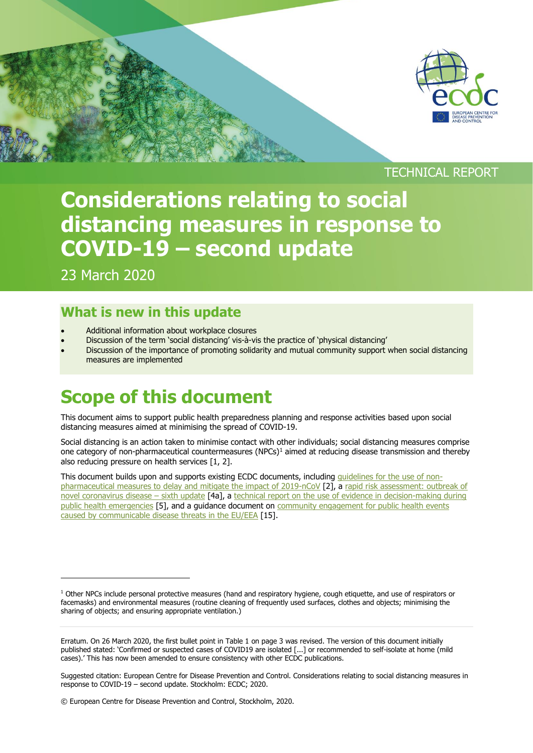

#### TECHNICAL REPORT

# **Considerations relating to social distancing measures in response to COVID-19 – second update**

23 March 2020

j

### **What is new in this update**

- Additional information about workplace closures
- Discussion of the term 'social distancing' vis-à-vis the practice of 'physical distancing'
- Discussion of the importance of promoting solidarity and mutual community support when social distancing measures are implemented

## **Scope of this document**

This document aims to support public health preparedness planning and response activities based upon social distancing measures aimed at minimising the spread of COVID-19.

Social distancing is an action taken to minimise contact with other individuals; social distancing measures comprise one category of non-pharmaceutical countermeasures  $(NPCs)^1$  aimed at reducing disease transmission and thereby also reducing pressure on health services [1, 2].

This document builds upon and supports existing ECDC documents, including quidelines for the use of non[pharmaceutical measures to delay and mitigate the impact of 2019-nCoV](https://www.ecdc.europa.eu/en/publications-data/guidelines-use-non-pharmaceutical-measures-delay-and-mitigate-impact-2019-ncov) [2], a [rapid risk assessment: outbreak of](https://www.ecdc.europa.eu/sites/default/files/documents/RRA-sixth-update-Outbreak-of-novel-coronavirus-disease-2019-COVID-19.pdf)  [novel coronavirus disease](https://www.ecdc.europa.eu/sites/default/files/documents/RRA-sixth-update-Outbreak-of-novel-coronavirus-disease-2019-COVID-19.pdf) – sixth update [4a], a technical report on the use of evidence in decision-making during [public health emergencies](https://www.ecdc.europa.eu/en/publications-data/use-evidence-decision-making-during-public-health-emergencies) [5], and a guidance document on community engagement for public health events [caused by communicable disease threats in the EU/EEA](https://www.ecdc.europa.eu/en/publications-data/guidance-community-engagement-public-health-events-caused-communicable-disease) [15].

 $1$  Other NPCs include personal protective measures (hand and respiratory hygiene, cough etiquette, and use of respirators or facemasks) and environmental measures (routine cleaning of frequently used surfaces, clothes and objects; minimising the sharing of objects; and ensuring appropriate ventilation.)

Erratum. On 26 March 2020, the first bullet point in Table 1 on page 3 was revised. The version of this document initially published stated: 'Confirmed or suspected cases of COVID19 are isolated [...] or recommended to self-isolate at home (mild cases).' This has now been amended to ensure consistency with other ECDC publications.

Suggested citation: European Centre for Disease Prevention and Control. Considerations relating to social distancing measures in response to COVID-19 – second update. Stockholm: ECDC; 2020.

<sup>©</sup> European Centre for Disease Prevention and Control, Stockholm, 2020.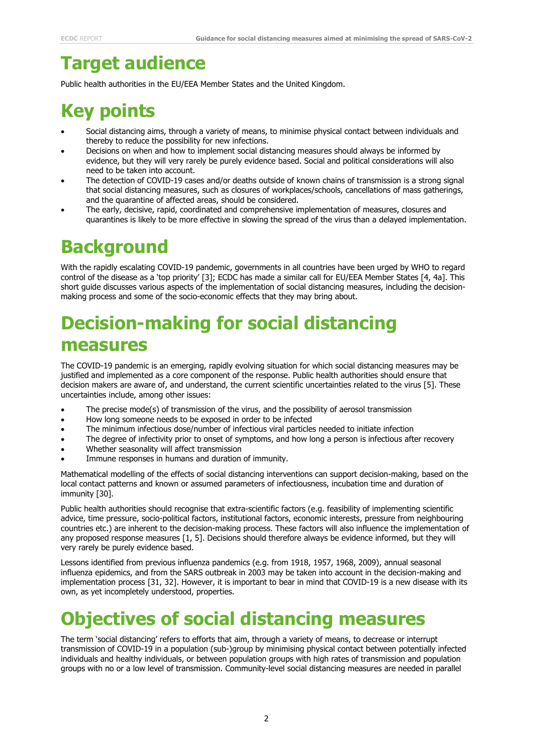## **Target audience**

Public health authorities in the EU/EEA Member States and the United Kingdom.

## **Key points**

- Social distancing aims, through a variety of means, to minimise physical contact between individuals and thereby to reduce the possibility for new infections.
- Decisions on when and how to implement social distancing measures should always be informed by evidence, but they will very rarely be purely evidence based. Social and political considerations will also need to be taken into account.
- The detection of COVID-19 cases and/or deaths outside of known chains of transmission is a strong signal that social distancing measures, such as closures of workplaces/schools, cancellations of mass gatherings, and the quarantine of affected areas, should be considered.
- The early, decisive, rapid, coordinated and comprehensive implementation of measures, closures and quarantines is likely to be more effective in slowing the spread of the virus than a delayed implementation.

## **Background**

With the rapidly escalating COVID-19 pandemic, governments in all countries have been urged by WHO to regard control of the disease as a 'top priority' [3]; ECDC has made a similar call for EU/EEA Member States [4, 4a]. This short guide discusses various aspects of the implementation of social distancing measures, including the decisionmaking process and some of the socio-economic effects that they may bring about.

## **Decision-making for social distancing measures**

The COVID-19 pandemic is an emerging, rapidly evolving situation for which social distancing measures may be justified and implemented as a core component of the response. Public health authorities should ensure that decision makers are aware of, and understand, the current scientific uncertainties related to the virus [5]. These uncertainties include, among other issues:

- The precise mode(s) of transmission of the virus, and the possibility of aerosol transmission
- How long someone needs to be exposed in order to be infected
- The minimum infectious dose/number of infectious viral particles needed to initiate infection
- The degree of infectivity prior to onset of symptoms, and how long a person is infectious after recovery
- Whether seasonality will affect transmission
- Immune responses in humans and duration of immunity.

Mathematical modelling of the effects of social distancing interventions can support decision-making, based on the local contact patterns and known or assumed parameters of infectiousness, incubation time and duration of immunity [30].

Public health authorities should recognise that extra-scientific factors (e.g. feasibility of implementing scientific advice, time pressure, socio-political factors, institutional factors, economic interests, pressure from neighbouring countries etc.) are inherent to the decision-making process. These factors will also influence the implementation of any proposed response measures [1, 5]. Decisions should therefore always be evidence informed, but they will very rarely be purely evidence based.

Lessons identified from previous influenza pandemics (e.g. from 1918, 1957, 1968, 2009), annual seasonal influenza epidemics, and from the SARS outbreak in 2003 may be taken into account in the decision-making and implementation process [31, 32]. However, it is important to bear in mind that COVID-19 is a new disease with its own, as yet incompletely understood, properties.

### **Objectives of social distancing measures**

The term 'social distancing' refers to efforts that aim, through a variety of means, to decrease or interrupt transmission of COVID-19 in a population (sub-)group by minimising physical contact between potentially infected individuals and healthy individuals, or between population groups with high rates of transmission and population groups with no or a low level of transmission. Community-level social distancing measures are needed in parallel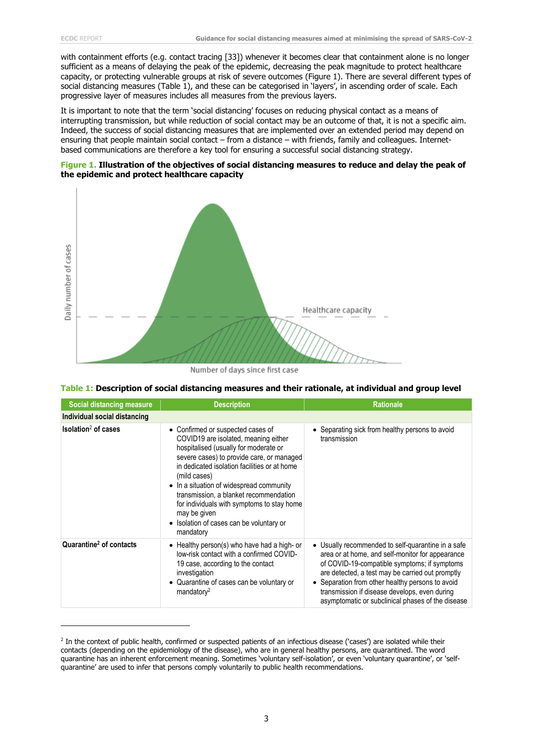j

with containment efforts (e.g. contact tracing [33]) whenever it becomes clear that containment alone is no longer sufficient as a means of delaying the peak of the epidemic, decreasing the peak magnitude to protect healthcare capacity, or protecting vulnerable groups at risk of severe outcomes (Figure 1). There are several different types of social distancing measures (Table 1), and these can be categorised in 'layers', in ascending order of scale. Each progressive layer of measures includes all measures from the previous layers.

It is important to note that the term 'social distancing' focuses on reducing physical contact as a means of interrupting transmission, but while reduction of social contact may be an outcome of that, it is not a specific aim. Indeed, the success of social distancing measures that are implemented over an extended period may depend on ensuring that people maintain social contact – from a distance – with friends, family and colleagues. Internetbased communications are therefore a key tool for ensuring a successful social distancing strategy.





Number of days since first case

| Table 1: Description of social distancing measures and their rationale, at individual and group level |  |  |  |  |  |  |  |  |
|-------------------------------------------------------------------------------------------------------|--|--|--|--|--|--|--|--|
|-------------------------------------------------------------------------------------------------------|--|--|--|--|--|--|--|--|

| Social distancing measure           | <b>Description</b>                                                                                                                                                                                                                                                                                                                                                                                                                           | <b>Rationale</b>                                                                                                                                                                                                                                                                                                                                                 |  |  |
|-------------------------------------|----------------------------------------------------------------------------------------------------------------------------------------------------------------------------------------------------------------------------------------------------------------------------------------------------------------------------------------------------------------------------------------------------------------------------------------------|------------------------------------------------------------------------------------------------------------------------------------------------------------------------------------------------------------------------------------------------------------------------------------------------------------------------------------------------------------------|--|--|
| Individual social distancing        |                                                                                                                                                                                                                                                                                                                                                                                                                                              |                                                                                                                                                                                                                                                                                                                                                                  |  |  |
| $Isolation2$ of cases               | • Confirmed or suspected cases of<br>COVID19 are isolated, meaning either<br>hospitalised (usually for moderate or<br>severe cases) to provide care, or managed<br>in dedicated isolation facilities or at home<br>(mild cases)<br>• In a situation of widespread community<br>transmission, a blanket recommendation<br>for individuals with symptoms to stay home<br>may be given<br>• Isolation of cases can be voluntary or<br>mandatory | • Separating sick from healthy persons to avoid<br>transmission                                                                                                                                                                                                                                                                                                  |  |  |
| Quarantine <sup>2</sup> of contacts | • Healthy person(s) who have had a high- or<br>low-risk contact with a confirmed COVID-<br>19 case, according to the contact<br>investigation<br>• Quarantine of cases can be voluntary or<br>mandatory <sup>2</sup>                                                                                                                                                                                                                         | Usually recommended to self-quarantine in a safe<br>area or at home, and self-monitor for appearance<br>of COVID-19-compatible symptoms; if symptoms<br>are detected, a test may be carried out promptly<br>Separation from other healthy persons to avoid<br>transmission if disease develops, even during<br>asymptomatic or subclinical phases of the disease |  |  |

<sup>&</sup>lt;sup>2</sup> In the context of public health, confirmed or suspected patients of an infectious disease ('cases') are isolated while their contacts (depending on the epidemiology of the disease), who are in general healthy persons, are quarantined. The word quarantine has an inherent enforcement meaning. Sometimes 'voluntary self-isolation', or even 'voluntary quarantine', or 'selfquarantine' are used to infer that persons comply voluntarily to public health recommendations.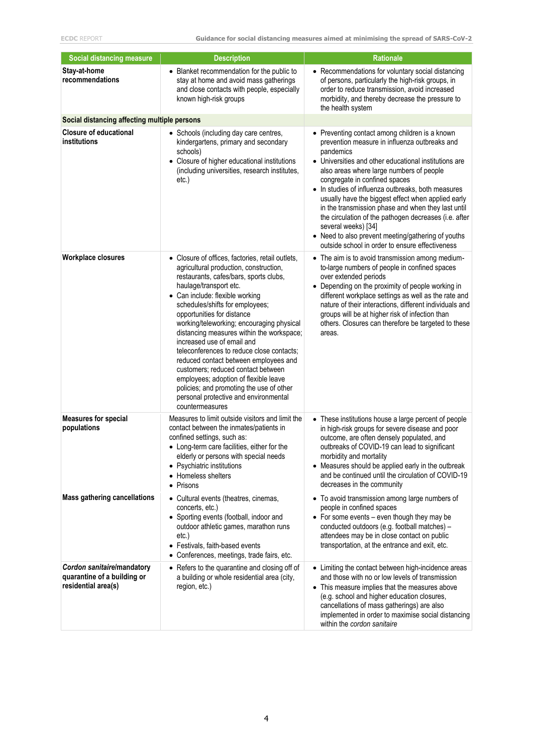| <b>Social distancing measure</b>                                                 | <b>Description</b>                                                                                                                                                                                                                                                                                                                                                                                                                                                                                                                                                                                                                                                    | Rationale                                                                                                                                                                                                                                                                                                                                                                                                                                                                                                                                                                                                     |
|----------------------------------------------------------------------------------|-----------------------------------------------------------------------------------------------------------------------------------------------------------------------------------------------------------------------------------------------------------------------------------------------------------------------------------------------------------------------------------------------------------------------------------------------------------------------------------------------------------------------------------------------------------------------------------------------------------------------------------------------------------------------|---------------------------------------------------------------------------------------------------------------------------------------------------------------------------------------------------------------------------------------------------------------------------------------------------------------------------------------------------------------------------------------------------------------------------------------------------------------------------------------------------------------------------------------------------------------------------------------------------------------|
| Stay-at-home<br>recommendations                                                  | • Blanket recommendation for the public to<br>stay at home and avoid mass gatherings<br>and close contacts with people, especially<br>known high-risk groups                                                                                                                                                                                                                                                                                                                                                                                                                                                                                                          | • Recommendations for voluntary social distancing<br>of persons, particularly the high-risk groups, in<br>order to reduce transmission, avoid increased<br>morbidity, and thereby decrease the pressure to<br>the health system                                                                                                                                                                                                                                                                                                                                                                               |
| Social distancing affecting multiple persons                                     |                                                                                                                                                                                                                                                                                                                                                                                                                                                                                                                                                                                                                                                                       |                                                                                                                                                                                                                                                                                                                                                                                                                                                                                                                                                                                                               |
| <b>Closure of educational</b><br>institutions                                    | • Schools (including day care centres,<br>kindergartens, primary and secondary<br>schools)<br>Closure of higher educational institutions<br>(including universities, research institutes,<br>etc.)                                                                                                                                                                                                                                                                                                                                                                                                                                                                    | • Preventing contact among children is a known<br>prevention measure in influenza outbreaks and<br>pandemics<br>• Universities and other educational institutions are<br>also areas where large numbers of people<br>congregate in confined spaces<br>• In studies of influenza outbreaks, both measures<br>usually have the biggest effect when applied early<br>in the transmission phase and when they last until<br>the circulation of the pathogen decreases (i.e. after<br>several weeks) [34]<br>• Need to also prevent meeting/gathering of youths<br>outside school in order to ensure effectiveness |
| <b>Workplace closures</b>                                                        | Closure of offices, factories, retail outlets,<br>agricultural production, construction,<br>restaurants, cafes/bars, sports clubs,<br>haulage/transport etc.<br>• Can include: flexible working<br>schedules/shifts for employees;<br>opportunities for distance<br>working/teleworking; encouraging physical<br>distancing measures within the workspace;<br>increased use of email and<br>teleconferences to reduce close contacts;<br>reduced contact between employees and<br>customers; reduced contact between<br>employees; adoption of flexible leave<br>policies; and promoting the use of other<br>personal protective and environmental<br>countermeasures | • The aim is to avoid transmission among medium-<br>to-large numbers of people in confined spaces<br>over extended periods<br>• Depending on the proximity of people working in<br>different workplace settings as well as the rate and<br>nature of their interactions, different individuals and<br>groups will be at higher risk of infection than<br>others. Closures can therefore be targeted to these<br>areas.                                                                                                                                                                                        |
| <b>Measures for special</b><br>populations                                       | Measures to limit outside visitors and limit the<br>contact between the inmates/patients in<br>confined settings, such as:<br>• Long-term care facilities, either for the<br>elderly or persons with special needs<br>• Psychiatric institutions<br>Homeless shelters<br>Prisons<br>٠                                                                                                                                                                                                                                                                                                                                                                                 | • These institutions house a large percent of people<br>in high-risk groups for severe disease and poor<br>outcome, are often densely populated, and<br>outbreaks of COVID-19 can lead to significant<br>morbidity and mortality<br>• Measures should be applied early in the outbreak<br>and be continued until the circulation of COVID-19<br>decreases in the community                                                                                                                                                                                                                                    |
| <b>Mass gathering cancellations</b>                                              | • Cultural events (theatres, cinemas,<br>concerts, etc.)<br>• Sporting events (football, indoor and<br>outdoor athletic games, marathon runs<br>etc.)<br>Festivals, faith-based events<br>Conferences, meetings, trade fairs, etc.<br>$\bullet$                                                                                                                                                                                                                                                                                                                                                                                                                       | • To avoid transmission among large numbers of<br>people in confined spaces<br>• For some events - even though they may be<br>conducted outdoors (e.g. football matches) -<br>attendees may be in close contact on public<br>transportation, at the entrance and exit, etc.                                                                                                                                                                                                                                                                                                                                   |
| Cordon sanitaire/mandatory<br>quarantine of a building or<br>residential area(s) | • Refers to the quarantine and closing off of<br>a building or whole residential area (city,<br>region, etc.)                                                                                                                                                                                                                                                                                                                                                                                                                                                                                                                                                         | • Limiting the contact between high-incidence areas<br>and those with no or low levels of transmission<br>• This measure implies that the measures above<br>(e.g. school and higher education closures,<br>cancellations of mass gatherings) are also<br>implemented in order to maximise social distancing<br>within the cordon sanitaire                                                                                                                                                                                                                                                                    |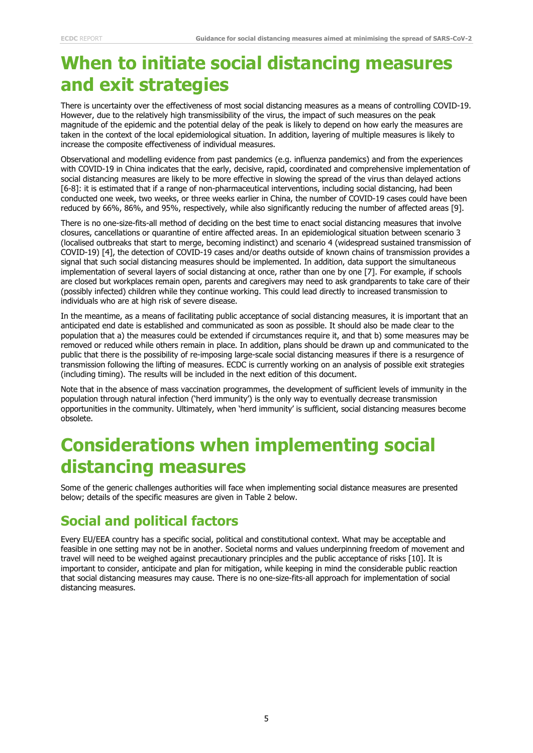## **When to initiate social distancing measures and exit strategies**

There is uncertainty over the effectiveness of most social distancing measures as a means of controlling COVID-19. However, due to the relatively high transmissibility of the virus, the impact of such measures on the peak magnitude of the epidemic and the potential delay of the peak is likely to depend on how early the measures are taken in the context of the local epidemiological situation. In addition, layering of multiple measures is likely to increase the composite effectiveness of individual measures.

Observational and modelling evidence from past pandemics (e.g. influenza pandemics) and from the experiences with COVID-19 in China indicates that the early, decisive, rapid, coordinated and comprehensive implementation of social distancing measures are likely to be more effective in slowing the spread of the virus than delayed actions [6-8]: it is estimated that if a range of non-pharmaceutical interventions, including social distancing, had been conducted one week, two weeks, or three weeks earlier in China, the number of COVID-19 cases could have been reduced by 66%, 86%, and 95%, respectively, while also significantly reducing the number of affected areas [9].

There is no one-size-fits-all method of deciding on the best time to enact social distancing measures that involve closures, cancellations or quarantine of entire affected areas. In an epidemiological situation between scenario 3 (localised outbreaks that start to merge, becoming indistinct) and scenario 4 (widespread sustained transmission of COVID-19) [4], the detection of COVID-19 cases and/or deaths outside of known chains of transmission provides a signal that such social distancing measures should be implemented. In addition, data support the simultaneous implementation of several layers of social distancing at once, rather than one by one [7]. For example, if schools are closed but workplaces remain open, parents and caregivers may need to ask grandparents to take care of their (possibly infected) children while they continue working. This could lead directly to increased transmission to individuals who are at high risk of severe disease.

In the meantime, as a means of facilitating public acceptance of social distancing measures, it is important that an anticipated end date is established and communicated as soon as possible. It should also be made clear to the population that a) the measures could be extended if circumstances require it, and that b) some measures may be removed or reduced while others remain in place. In addition, plans should be drawn up and communicated to the public that there is the possibility of re-imposing large-scale social distancing measures if there is a resurgence of transmission following the lifting of measures. ECDC is currently working on an analysis of possible exit strategies (including timing). The results will be included in the next edition of this document.

Note that in the absence of mass vaccination programmes, the development of sufficient levels of immunity in the population through natural infection ('herd immunity') is the only way to eventually decrease transmission opportunities in the community. Ultimately, when 'herd immunity' is sufficient, social distancing measures become obsolete.

## **Considerations when implementing social distancing measures**

Some of the generic challenges authorities will face when implementing social distance measures are presented below; details of the specific measures are given in Table 2 below.

### **Social and political factors**

Every EU/EEA country has a specific social, political and constitutional context. What may be acceptable and feasible in one setting may not be in another. Societal norms and values underpinning freedom of movement and travel will need to be weighed against precautionary principles and the public acceptance of risks [10]. It is important to consider, anticipate and plan for mitigation, while keeping in mind the considerable public reaction that social distancing measures may cause. There is no one-size-fits-all approach for implementation of social distancing measures.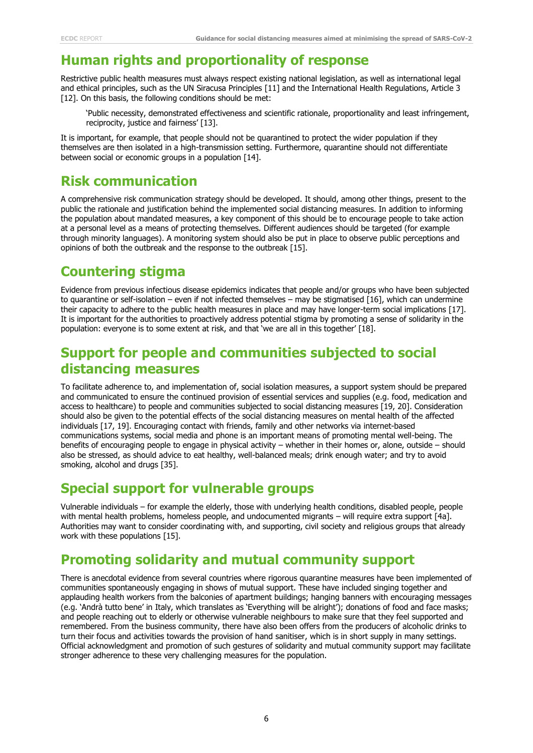#### **Human rights and proportionality of response**

Restrictive public health measures must always respect existing national legislation, as well as international legal and ethical principles, such as the UN Siracusa Principles [11] and the International Health Regulations, Article 3 [12]. On this basis, the following conditions should be met:

'Public necessity, demonstrated effectiveness and scientific rationale, proportionality and least infringement, reciprocity, justice and fairness' [13].

It is important, for example, that people should not be quarantined to protect the wider population if they themselves are then isolated in a high-transmission setting. Furthermore, quarantine should not differentiate between social or economic groups in a population [14].

#### **Risk communication**

A comprehensive risk communication strategy should be developed. It should, among other things, present to the public the rationale and justification behind the implemented social distancing measures. In addition to informing the population about mandated measures, a key component of this should be to encourage people to take action at a personal level as a means of protecting themselves. Different audiences should be targeted (for example through minority languages). A monitoring system should also be put in place to observe public perceptions and opinions of both the outbreak and the response to the outbreak [15].

### **Countering stigma**

Evidence from previous infectious disease epidemics indicates that people and/or groups who have been subjected to quarantine or self-isolation – even if not infected themselves – may be stigmatised [16], which can undermine their capacity to adhere to the public health measures in place and may have longer-term social implications [17]. It is important for the authorities to proactively address potential stigma by promoting a sense of solidarity in the population: everyone is to some extent at risk, and that 'we are all in this together' [18].

### **Support for people and communities subjected to social distancing measures**

To facilitate adherence to, and implementation of, social isolation measures, a support system should be prepared and communicated to ensure the continued provision of essential services and supplies (e.g. food, medication and access to healthcare) to people and communities subjected to social distancing measures [19, 20]. Consideration should also be given to the potential effects of the social distancing measures on mental health of the affected individuals [17, 19]. Encouraging contact with friends, family and other networks via internet-based communications systems, social media and phone is an important means of promoting mental well-being. The benefits of encouraging people to engage in physical activity – whether in their homes or, alone, outside – should also be stressed, as should advice to eat healthy, well-balanced meals; drink enough water; and try to avoid smoking, alcohol and drugs [35].

#### **Special support for vulnerable groups**

Vulnerable individuals – for example the elderly, those with underlying health conditions, disabled people, people with mental health problems, homeless people, and undocumented migrants – will require extra support [4a]. Authorities may want to consider coordinating with, and supporting, civil society and religious groups that already work with these populations [15].

### **Promoting solidarity and mutual community support**

There is anecdotal evidence from several countries where rigorous quarantine measures have been implemented of communities spontaneously engaging in shows of mutual support. These have included singing together and applauding health workers from the balconies of apartment buildings; hanging banners with encouraging messages (e.g. 'Andrà tutto bene' in Italy, which translates as 'Everything will be alright'); donations of food and face masks; and people reaching out to elderly or otherwise vulnerable neighbours to make sure that they feel supported and remembered. From the business community, there have also been offers from the producers of alcoholic drinks to turn their focus and activities towards the provision of hand sanitiser, which is in short supply in many settings. Official acknowledgment and promotion of such gestures of solidarity and mutual community support may facilitate stronger adherence to these very challenging measures for the population.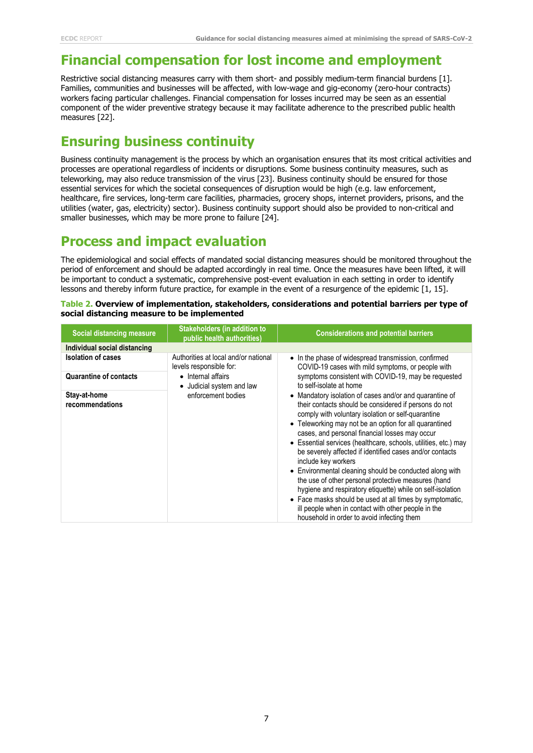### **Financial compensation for lost income and employment**

Restrictive social distancing measures carry with them short- and possibly medium-term financial burdens [1]. Families, communities and businesses will be affected, with low-wage and gig-economy (zero-hour contracts) workers facing particular challenges. Financial compensation for losses incurred may be seen as an essential component of the wider preventive strategy because it may facilitate adherence to the prescribed public health measures [22].

#### **Ensuring business continuity**

Business continuity management is the process by which an organisation ensures that its most critical activities and processes are operational regardless of incidents or disruptions. Some business continuity measures, such as teleworking, may also reduce transmission of the virus [23]. Business continuity should be ensured for those essential services for which the societal consequences of disruption would be high (e.g. law enforcement, healthcare, fire services, long-term care facilities, pharmacies, grocery shops, internet providers, prisons, and the utilities (water, gas, electricity) sector). Business continuity support should also be provided to non-critical and smaller businesses, which may be more prone to failure [24].

#### **Process and impact evaluation**

The epidemiological and social effects of mandated social distancing measures should be monitored throughout the period of enforcement and should be adapted accordingly in real time. Once the measures have been lifted, it will be important to conduct a systematic, comprehensive post-event evaluation in each setting in order to identify lessons and thereby inform future practice, for example in the event of a resurgence of the epidemic [1, 15].

| Table 2. Overview of implementation, stakeholders, considerations and potential barriers per type of |  |
|------------------------------------------------------------------------------------------------------|--|
| social distancing measure to be implemented                                                          |  |

| Social distancing measure       | <b>Stakeholders (in addition to</b><br>public health authorities)                                                                        | <b>Considerations and potential barriers</b>                                                                                                                                                                                                                                                                                                                                                                                                                                                                                                                                                                                                                                                                                                                                              |
|---------------------------------|------------------------------------------------------------------------------------------------------------------------------------------|-------------------------------------------------------------------------------------------------------------------------------------------------------------------------------------------------------------------------------------------------------------------------------------------------------------------------------------------------------------------------------------------------------------------------------------------------------------------------------------------------------------------------------------------------------------------------------------------------------------------------------------------------------------------------------------------------------------------------------------------------------------------------------------------|
| Individual social distancing    |                                                                                                                                          |                                                                                                                                                                                                                                                                                                                                                                                                                                                                                                                                                                                                                                                                                                                                                                                           |
| <b>Isolation of cases</b>       | Authorities at local and/or national<br>levels responsible for:<br>• Internal affairs<br>• Judicial system and law<br>enforcement bodies | • In the phase of widespread transmission, confirmed<br>COVID-19 cases with mild symptoms, or people with                                                                                                                                                                                                                                                                                                                                                                                                                                                                                                                                                                                                                                                                                 |
| <b>Quarantine of contacts</b>   |                                                                                                                                          | symptoms consistent with COVID-19, may be requested<br>to self-isolate at home                                                                                                                                                                                                                                                                                                                                                                                                                                                                                                                                                                                                                                                                                                            |
| Stay-at-home<br>recommendations |                                                                                                                                          | • Mandatory isolation of cases and/or and quarantine of<br>their contacts should be considered if persons do not<br>comply with voluntary isolation or self-quarantine<br>• Teleworking may not be an option for all quarantined<br>cases, and personal financial losses may occur<br>• Essential services (healthcare, schools, utilities, etc.) may<br>be severely affected if identified cases and/or contacts<br>include key workers<br>• Environmental cleaning should be conducted along with<br>the use of other personal protective measures (hand<br>hygiene and respiratory etiquette) while on self-isolation<br>• Face masks should be used at all times by symptomatic,<br>ill people when in contact with other people in the<br>household in order to avoid infecting them |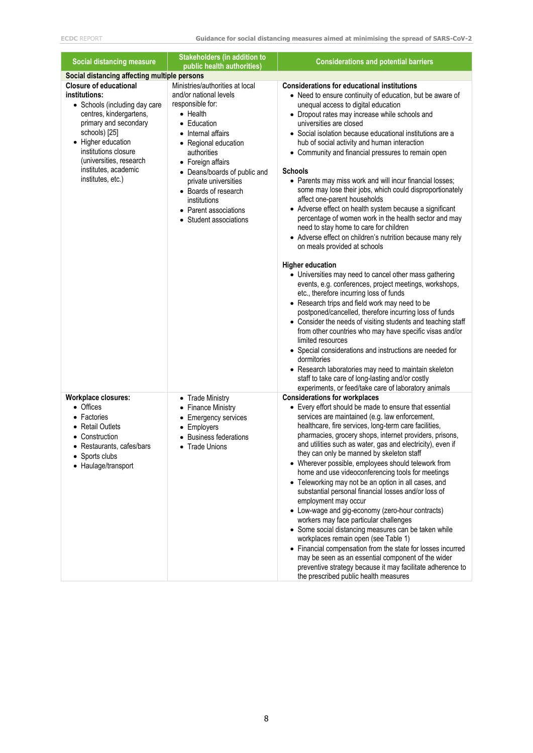| <b>Social distancing measure</b>                                                                                                                                                                                                                                           | <b>Stakeholders (in addition to</b><br>public health authorities)                                                                                                                                                                                                                                                                                              | <b>Considerations and potential barriers</b>                                                                                                                                                                                                                                                                                                                                                                                                                                                                                                                                                                                                                                                                                                                                                                                                                                                                                                                                                                                                                                                                                                                                                                                                                                                                                                                                                                                                                                               |  |  |  |
|----------------------------------------------------------------------------------------------------------------------------------------------------------------------------------------------------------------------------------------------------------------------------|----------------------------------------------------------------------------------------------------------------------------------------------------------------------------------------------------------------------------------------------------------------------------------------------------------------------------------------------------------------|--------------------------------------------------------------------------------------------------------------------------------------------------------------------------------------------------------------------------------------------------------------------------------------------------------------------------------------------------------------------------------------------------------------------------------------------------------------------------------------------------------------------------------------------------------------------------------------------------------------------------------------------------------------------------------------------------------------------------------------------------------------------------------------------------------------------------------------------------------------------------------------------------------------------------------------------------------------------------------------------------------------------------------------------------------------------------------------------------------------------------------------------------------------------------------------------------------------------------------------------------------------------------------------------------------------------------------------------------------------------------------------------------------------------------------------------------------------------------------------------|--|--|--|
| Social distancing affecting multiple persons                                                                                                                                                                                                                               |                                                                                                                                                                                                                                                                                                                                                                |                                                                                                                                                                                                                                                                                                                                                                                                                                                                                                                                                                                                                                                                                                                                                                                                                                                                                                                                                                                                                                                                                                                                                                                                                                                                                                                                                                                                                                                                                            |  |  |  |
| <b>Closure of educational</b><br>institutions:<br>• Schools (including day care<br>centres, kindergartens,<br>primary and secondary<br>schools) [25]<br>• Higher education<br>institutions closure<br>(universities, research<br>institutes, academic<br>institutes, etc.) | Ministries/authorities at local<br>and/or national levels<br>responsible for:<br>$\bullet$ Health<br>• Education<br>Internal affairs<br>$\bullet$<br>• Regional education<br>authorities<br>• Foreign affairs<br>• Deans/boards of public and<br>private universities<br>• Boards of research<br>institutions<br>• Parent associations<br>Student associations | <b>Considerations for educational institutions</b><br>• Need to ensure continuity of education, but be aware of<br>unequal access to digital education<br>• Dropout rates may increase while schools and<br>universities are closed<br>• Social isolation because educational institutions are a<br>hub of social activity and human interaction<br>• Community and financial pressures to remain open<br><b>Schools</b><br>• Parents may miss work and will incur financial losses;<br>some may lose their jobs, which could disproportionately<br>affect one-parent households<br>• Adverse effect on health system because a significant<br>percentage of women work in the health sector and may<br>need to stay home to care for children<br>• Adverse effect on children's nutrition because many rely<br>on meals provided at schools<br><b>Higher education</b><br>• Universities may need to cancel other mass gathering<br>events, e.g. conferences, project meetings, workshops,<br>etc., therefore incurring loss of funds<br>• Research trips and field work may need to be<br>postponed/cancelled, therefore incurring loss of funds<br>• Consider the needs of visiting students and teaching staff<br>from other countries who may have specific visas and/or<br>limited resources<br>• Special considerations and instructions are needed for<br>dormitories<br>• Research laboratories may need to maintain skeleton<br>staff to take care of long-lasting and/or costly |  |  |  |
| <b>Workplace closures:</b><br>• Offices<br>Factories<br><b>Retail Outlets</b><br>Construction<br>• Restaurants, cafes/bars<br>• Sports clubs<br>• Haulage/transport                                                                                                        | • Trade Ministry<br><b>Finance Ministry</b><br><b>Emergency services</b><br>$\bullet$<br>Employers<br>$\bullet$<br><b>Business federations</b><br><b>Trade Unions</b>                                                                                                                                                                                          | experiments, or feed/take care of laboratory animals<br><b>Considerations for workplaces</b><br>• Every effort should be made to ensure that essential<br>services are maintained (e.g. law enforcement,<br>healthcare, fire services, long-term care facilities,<br>pharmacies, grocery shops, internet providers, prisons,<br>and utilities such as water, gas and electricity), even if<br>they can only be manned by skeleton staff<br>• Wherever possible, employees should telework from<br>home and use videoconferencing tools for meetings<br>• Teleworking may not be an option in all cases, and<br>substantial personal financial losses and/or loss of<br>employment may occur<br>• Low-wage and gig-economy (zero-hour contracts)<br>workers may face particular challenges<br>• Some social distancing measures can be taken while<br>workplaces remain open (see Table 1)<br>• Financial compensation from the state for losses incurred<br>may be seen as an essential component of the wider<br>preventive strategy because it may facilitate adherence to<br>the prescribed public health measures                                                                                                                                                                                                                                                                                                                                                                      |  |  |  |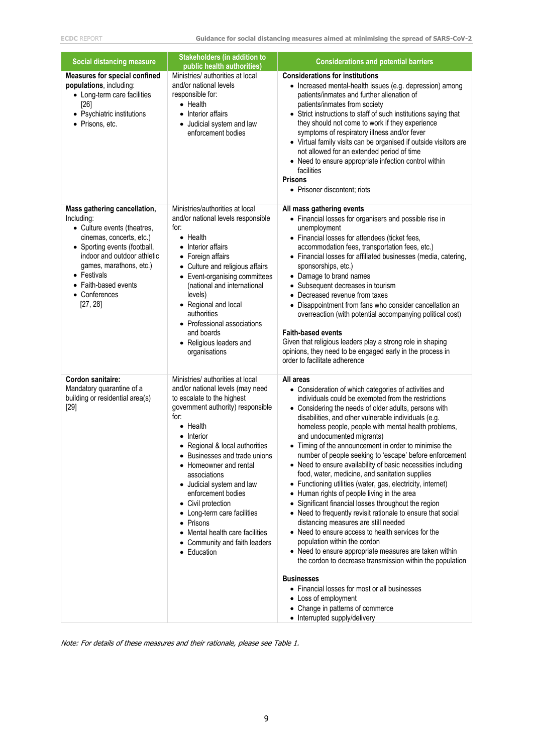| <b>Social distancing measure</b>                                                                                                                                                                                                                                    | <b>Stakeholders (in addition to</b><br>public health authorities)                                                                                                                                                                                                                                                                                                                                                                                                                                            | <b>Considerations and potential barriers</b>                                                                                                                                                                                                                                                                                                                                                                                                                                                                                                                                                                                                                                                                                                                                                                                                                                                                                                                                                                                                                                                                                                                                                                                                    |
|---------------------------------------------------------------------------------------------------------------------------------------------------------------------------------------------------------------------------------------------------------------------|--------------------------------------------------------------------------------------------------------------------------------------------------------------------------------------------------------------------------------------------------------------------------------------------------------------------------------------------------------------------------------------------------------------------------------------------------------------------------------------------------------------|-------------------------------------------------------------------------------------------------------------------------------------------------------------------------------------------------------------------------------------------------------------------------------------------------------------------------------------------------------------------------------------------------------------------------------------------------------------------------------------------------------------------------------------------------------------------------------------------------------------------------------------------------------------------------------------------------------------------------------------------------------------------------------------------------------------------------------------------------------------------------------------------------------------------------------------------------------------------------------------------------------------------------------------------------------------------------------------------------------------------------------------------------------------------------------------------------------------------------------------------------|
| <b>Measures for special confined</b><br>populations, including:<br>• Long-term care facilities<br>[26]<br>• Psychiatric institutions<br>• Prisons, etc.                                                                                                             | Ministries/ authorities at local<br>and/or national levels<br>responsible for:<br>• Health<br>• Interior affairs<br>• Judicial system and law<br>enforcement bodies                                                                                                                                                                                                                                                                                                                                          | <b>Considerations for institutions</b><br>• Increased mental-health issues (e.g. depression) among<br>patients/inmates and further alienation of<br>patients/inmates from society<br>• Strict instructions to staff of such institutions saying that<br>they should not come to work if they experience<br>symptoms of respiratory illness and/or fever<br>• Virtual family visits can be organised if outside visitors are<br>not allowed for an extended period of time<br>• Need to ensure appropriate infection control within<br>facilities<br><b>Prisons</b><br>• Prisoner discontent; riots                                                                                                                                                                                                                                                                                                                                                                                                                                                                                                                                                                                                                                              |
| Mass gathering cancellation,<br>Including:<br>• Culture events (theatres,<br>cinemas, concerts, etc.)<br>• Sporting events (football,<br>indoor and outdoor athletic<br>games, marathons, etc.)<br>• Festivals<br>• Faith-based events<br>• Conferences<br>[27, 28] | Ministries/authorities at local<br>and/or national levels responsible<br>for:<br>$\bullet$ Health<br>Interior affairs<br>$\bullet$<br>• Foreign affairs<br>• Culture and religious affairs<br>• Event-organising committees<br>(national and international<br>levels)<br>• Regional and local<br>authorities<br>• Professional associations<br>and boards<br>• Religious leaders and<br>organisations                                                                                                        | All mass gathering events<br>• Financial losses for organisers and possible rise in<br>unemployment<br>• Financial losses for attendees (ticket fees,<br>accommodation fees, transportation fees, etc.)<br>• Financial losses for affiliated businesses (media, catering,<br>sponsorships, etc.)<br>• Damage to brand names<br>• Subsequent decreases in tourism<br>• Decreased revenue from taxes<br>• Disappointment from fans who consider cancellation an<br>overreaction (with potential accompanying political cost)<br><b>Faith-based events</b><br>Given that religious leaders play a strong role in shaping<br>opinions, they need to be engaged early in the process in<br>order to facilitate adherence                                                                                                                                                                                                                                                                                                                                                                                                                                                                                                                             |
| <b>Cordon sanitaire:</b><br>Mandatory quarantine of a<br>building or residential area(s)<br>$[29]$                                                                                                                                                                  | Ministries/ authorities at local<br>and/or national levels (may need<br>to escalate to the highest<br>government authority) responsible<br>for:<br>$\bullet$ Health<br>Interior<br>• Regional & local authorities<br>Businesses and trade unions<br>$\bullet$<br>• Homeowner and rental<br>associations<br>• Judicial system and law<br>enforcement bodies<br>• Civil protection<br>Long-term care facilities<br>٠<br>Prisons<br>Mental health care facilities<br>Community and faith leaders<br>• Education | All areas<br>• Consideration of which categories of activities and<br>individuals could be exempted from the restrictions<br>• Considering the needs of older adults, persons with<br>disabilities, and other vulnerable individuals (e.g.<br>homeless people, people with mental health problems,<br>and undocumented migrants)<br>• Timing of the announcement in order to minimise the<br>number of people seeking to 'escape' before enforcement<br>• Need to ensure availability of basic necessities including<br>food, water, medicine, and sanitation supplies<br>• Functioning utilities (water, gas, electricity, internet)<br>Human rights of people living in the area<br>$\bullet$<br>• Significant financial losses throughout the region<br>• Need to frequently revisit rationale to ensure that social<br>distancing measures are still needed<br>• Need to ensure access to health services for the<br>population within the cordon<br>• Need to ensure appropriate measures are taken within<br>the cordon to decrease transmission within the population<br><b>Businesses</b><br>• Financial losses for most or all businesses<br>• Loss of employment<br>• Change in patterns of commerce<br>• Interrupted supply/delivery |

Note: For details of these measures and their rationale, please see Table 1.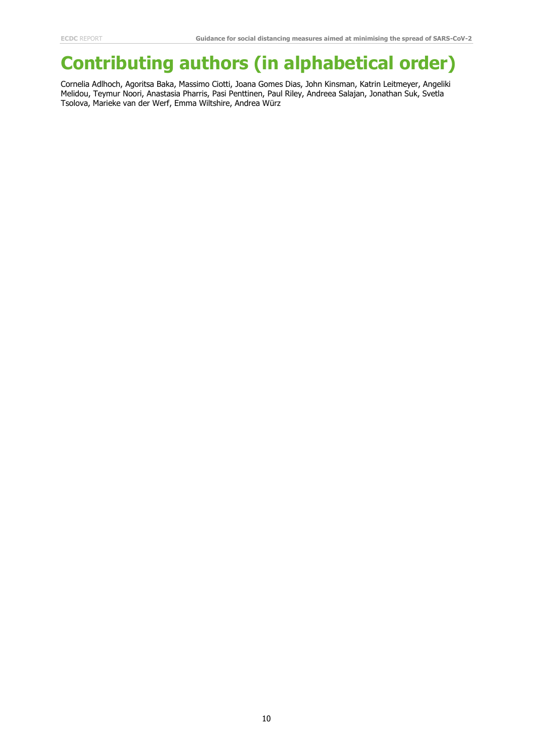## **Contributing authors (in alphabetical order)**

Cornelia Adlhoch, Agoritsa Baka, Massimo Ciotti, Joana Gomes Dias, John Kinsman, Katrin Leitmeyer, Angeliki Melidou, Teymur Noori, Anastasia Pharris, Pasi Penttinen, Paul Riley, Andreea Salajan, Jonathan Suk, Svetla Tsolova, Marieke van der Werf, Emma Wiltshire, Andrea Würz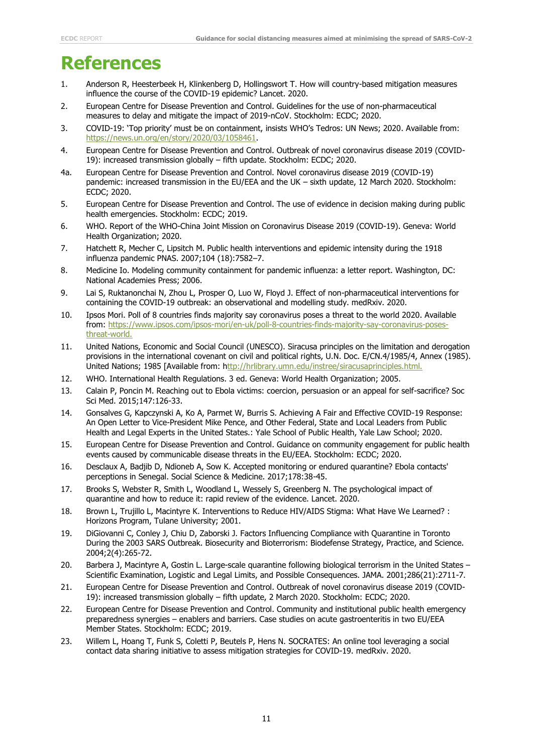## **References**

- 1. Anderson R, Heesterbeek H, Klinkenberg D, Hollingswort T. How will country-based mitigation measures influence the course of the COVID-19 epidemic? Lancet. 2020.
- 2. European Centre for Disease Prevention and Control. Guidelines for the use of non-pharmaceutical measures to delay and mitigate the impact of 2019-nCoV. Stockholm: ECDC; 2020.
- 3. COVID-19: 'Top priority' must be on containment, insists WHO's Tedros: UN News; 2020. Available from: [https://news.un.org/en/story/2020/03/1058461.](https://news.un.org/en/story/2020/03/1058461)
- 4. European Centre for Disease Prevention and Control. Outbreak of novel coronavirus disease 2019 (COVID-19): increased transmission globally – fifth update. Stockholm: ECDC; 2020.
- 4a. European Centre for Disease Prevention and Control. Novel coronavirus disease 2019 (COVID-19) pandemic: increased transmission in the EU/EEA and the UK – sixth update, 12 March 2020. Stockholm: ECDC; 2020.
- 5. European Centre for Disease Prevention and Control. The use of evidence in decision making during public health emergencies. Stockholm: ECDC; 2019.
- 6. WHO. Report of the WHO-China Joint Mission on Coronavirus Disease 2019 (COVID-19). Geneva: World Health Organization; 2020.
- 7. Hatchett R, Mecher C, Lipsitch M. Public health interventions and epidemic intensity during the 1918 influenza pandemic PNAS. 2007;104 (18):7582–7.
- 8. Medicine Io. Modeling community containment for pandemic influenza: a letter report. Washington, DC: National Academies Press; 2006.
- 9. Lai S, Ruktanonchai N, Zhou L, Prosper O, Luo W, Floyd J. Effect of non-pharmaceutical interventions for containing the COVID-19 outbreak: an observational and modelling study. medRxiv. 2020.
- 10. Ipsos Mori. Poll of 8 countries finds majority say coronavirus poses a threat to the world 2020. Available from: https://www.ipsos.com/ipsos-mori/en-uk/poll-8-countries-finds-majority-say-coronavirus-posesthreat-world.
- 11. United Nations, Economic and Social Council (UNESCO). Siracusa principles on the limitation and derogation provisions in the international covenant on civil and political rights, U.N. Doc. E/CN.4/1985/4, Annex (1985). United Nations; 1985 [Available from: [http://hrlibrary.umn.edu/instree/siracusaprinciples.html.](ttp://hrlibrary.umn.edu/instree/siracusaprinciples.html.)
- 12. WHO. International Health Regulations. 3 ed. Geneva: World Health Organization; 2005.
- 13. Calain P, Poncin M. Reaching out to Ebola victims: coercion, persuasion or an appeal for self-sacrifice? Soc Sci Med. 2015;147:126-33.
- 14. Gonsalves G, Kapczynski A, Ko A, Parmet W, Burris S. Achieving A Fair and Effective COVID-19 Response: An Open Letter to Vice-President Mike Pence, and Other Federal, State and Local Leaders from Public Health and Legal Experts in the United States.: Yale School of Public Health, Yale Law School; 2020.
- 15. European Centre for Disease Prevention and Control. Guidance on community engagement for public health events caused by communicable disease threats in the EU/EEA. Stockholm: ECDC; 2020.
- 16. Desclaux A, Badjib D, Ndioneb A, Sow K. Accepted monitoring or endured quarantine? Ebola contacts' perceptions in Senegal. Social Science & Medicine. 2017;178:38-45.
- 17. Brooks S, Webster R, Smith L, Woodland L, Wessely S, Greenberg N. The psychological impact of quarantine and how to reduce it: rapid review of the evidence. Lancet. 2020.
- 18. Brown L, Trujillo L, Macintyre K. Interventions to Reduce HIV/AIDS Stigma: What Have We Learned? : Horizons Program, Tulane University; 2001.
- 19. DiGiovanni C, Conley J, Chiu D, Zaborski J. Factors Influencing Compliance with Quarantine in Toronto During the 2003 SARS Outbreak. Biosecurity and Bioterrorism: Biodefense Strategy, Practice, and Science. 2004;2(4):265-72.
- 20. Barbera J, Macintyre A, Gostin L. Large-scale quarantine following biological terrorism in the United States Scientific Examination, Logistic and Legal Limits, and Possible Consequences. JAMA. 2001;286(21):2711-7.
- 21. European Centre for Disease Prevention and Control. Outbreak of novel coronavirus disease 2019 (COVID-19): increased transmission globally – fifth update, 2 March 2020. Stockholm: ECDC; 2020.
- 22. European Centre for Disease Prevention and Control. Community and institutional public health emergency preparedness synergies – enablers and barriers. Case studies on acute gastroenteritis in two EU/EEA Member States. Stockholm: ECDC; 2019.
- 23. Willem L, Hoang T, Funk S, Coletti P, Beutels P, Hens N. SOCRATES: An online tool leveraging a social contact data sharing initiative to assess mitigation strategies for COVID-19. medRxiv. 2020.